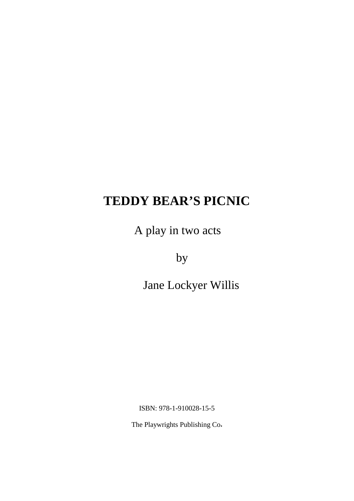A play in two acts

by

Jane Lockyer Willis

ISBN: 978-1-910028-15-5

The Playwrights Publishing Co**.**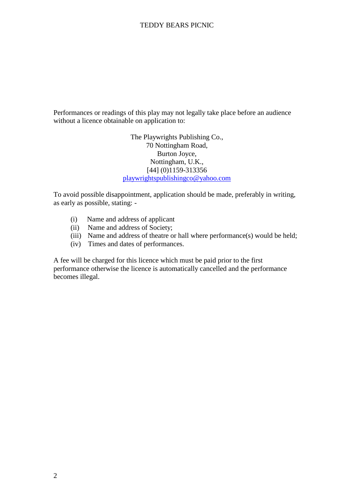Performances or readings of this play may not legally take place before an audience without a licence obtainable on application to:

> The Playwrights Publishing Co., 70 Nottingham Road, Burton Joyce, Nottingham, U.K., [44] (0)1159-313356 playwrightspublishingco@yahoo.com

To avoid possible disappointment, application should be made, preferably in writing, as early as possible, stating: -

- (i) Name and address of applicant
- (ii) Name and address of Society;
- (iii) Name and address of theatre or hall where performance(s) would be held;
- (iv) Times and dates of performances.

A fee will be charged for this licence which must be paid prior to the first performance otherwise the licence is automatically cancelled and the performance becomes illegal.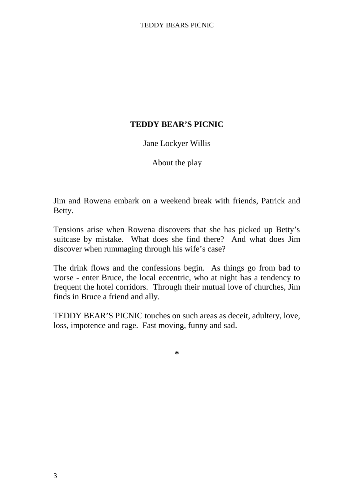# Jane Lockyer Willis

About the play

Jim and Rowena embark on a weekend break with friends, Patrick and Betty.

Tensions arise when Rowena discovers that she has picked up Betty's suitcase by mistake. What does she find there? And what does Jim discover when rummaging through his wife's case?

The drink flows and the confessions begin. As things go from bad to worse - enter Bruce, the local eccentric, who at night has a tendency to frequent the hotel corridors. Through their mutual love of churches, Jim finds in Bruce a friend and ally.

TEDDY BEAR'S PICNIC touches on such areas as deceit, adultery, love, loss, impotence and rage. Fast moving, funny and sad.

**\***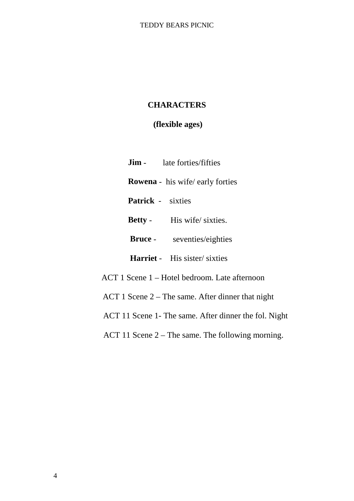# **CHARACTERS**

# **(flexible ages)**

**Jim** - late forties/fifties  **Rowena** - his wife/ early forties  **Patrick** - sixties **Betty** - His wife/ sixties.  **Bruce** - seventies/eighties  **Harriet** - His sister/ sixties ACT 1 Scene 1 – Hotel bedroom. Late afternoon

ACT 1 Scene 2 – The same. After dinner that night

- ACT 11 Scene 1- The same. After dinner the fol. Night
- ACT 11 Scene 2 The same. The following morning.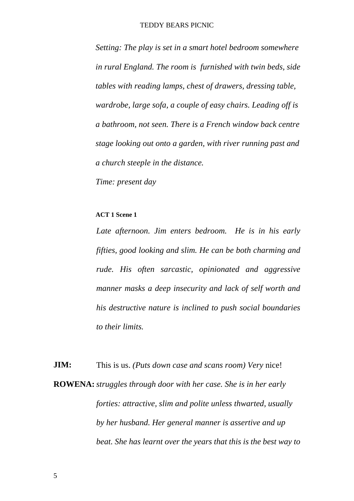*Setting: The play is set in a smart hotel bedroom somewhere in rural England. The room is furnished with twin beds, side tables with reading lamps, chest of drawers, dressing table, wardrobe, large sofa, a couple of easy chairs. Leading off is a bathroom, not seen. There is a French window back centre stage looking out onto a garden, with river running past and a church steeple in the distance.*

*Time: present day*

#### **ACT 1 Scene 1**

*Late afternoon. Jim enters bedroom. He is in his early fifties, good looking and slim. He can be both charming and rude. His often sarcastic, opinionated and aggressive manner masks a deep insecurity and lack of self worth and his destructive nature is inclined to push social boundaries to their limits.*

**JIM:** This is us. *(Puts down case and scans room) Very* nice! **ROWENA:** *struggles through door with her case. She is in her early forties: attractive, slim and polite unless thwarted, usually by her husband. Her general manner is assertive and up beat. She has learnt over the years that this is the best way to*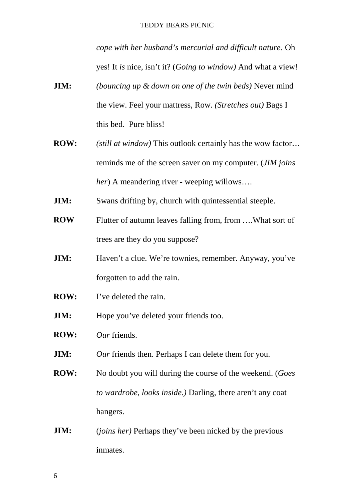*cope with her husband's mercurial and difficult nature.* Oh yes! It *is* nice, isn't it? (*Going to window)* And what a view!

- **JIM:** *(bouncing up & down on one of the twin beds)* Never mind the view. Feel your mattress, Row. *(Stretches out)* Bags I this bed. Pure bliss!
- **ROW:** *(still at window)* This outlook certainly has the wow factor… reminds me of the screen saver on my computer. (*JIM joins her*) A meandering river - weeping willows….
- **JIM:** Swans drifting by, church with quintessential steeple.
- **ROW** Flutter of autumn leaves falling from, from .... What sort of trees are they do you suppose?
- **JIM:** Haven't a clue. We're townies, remember. Anyway, you've forgotten to add the rain.
- **ROW:** I've deleted the rain.
- **JIM:** Hope you've deleted your friends too.
- **ROW:** *Our* friends.
- **JIM:** *Our* friends then. Perhaps I can delete them for you.
- **ROW:** No doubt you will during the course of the weekend. (*Goes to wardrobe, looks inside.)* Darling, there aren't any coat hangers.
- **JIM:** (*joins her*) Perhaps they've been nicked by the previous inmates.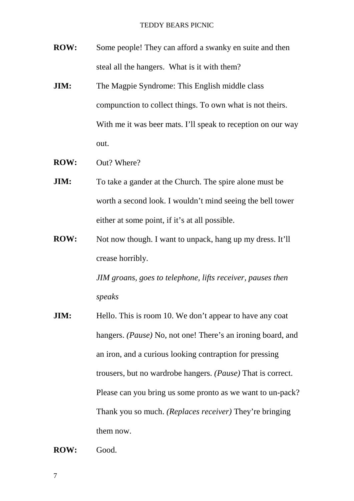- **ROW:** Some people! They can afford a swanky en suite and then steal all the hangers. What is it with them?
- **JIM:** The Magpie Syndrome: This English middle class compunction to collect things. To own what is not theirs. With me it was beer mats. I'll speak to reception on our way out.
- **ROW:** Out? Where?
- **JIM:** To take a gander at the Church. The spire alone must be worth a second look. I wouldn't mind seeing the bell tower either at some point, if it's at all possible.
- **ROW:** Not now though. I want to unpack, hang up my dress. It'll crease horribly.

*JIM groans, goes to telephone, lifts receiver, pauses then speaks*

**JIM:** Hello. This is room 10. We don't appear to have any coat hangers. *(Pause)* No, not one! There's an ironing board, and an iron, and a curious looking contraption for pressing trousers, but no wardrobe hangers. *(Pause)* That is correct. Please can you bring us some pronto as we want to un-pack? Thank you so much. *(Replaces receiver)* They're bringing them now.

**ROW:** Good.

7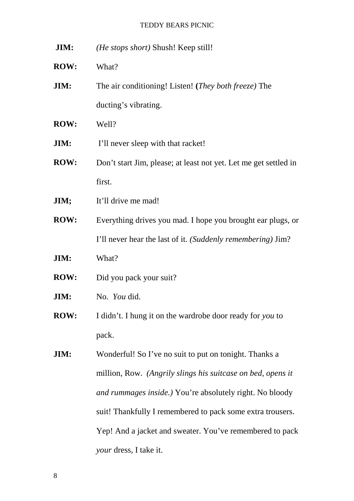- **JIM:** *(He stops short)* Shush! Keep still!
- **ROW:** What?
- **JIM:** The air conditioning! Listen! **(***They both freeze)* The ducting's vibrating.
- **ROW:** Well?
- **JIM:** I'll never sleep with that racket!
- **ROW:** Don't start Jim, please; at least not yet. Let me get settled in first.
- **JIM;** It'll drive me mad!
- **ROW:** Everything drives you mad. I hope you brought ear plugs, or I'll never hear the last of it. *(Suddenly remembering)* Jim?
- **JIM:** What?
- **ROW:** Did you pack your suit?
- **JIM:** No. *You* did.
- **ROW:** I didn't. I hung it on the wardrobe door ready for *you* to pack.
- **JIM:** Wonderful! So I've no suit to put on tonight. Thanks a million, Row. *(Angrily slings his suitcase on bed, opens it and rummages inside.)* You're absolutely right. No bloody suit! Thankfully I remembered to pack some extra trousers. Yep! And a jacket and sweater. You've remembered to pack *your* dress, I take it.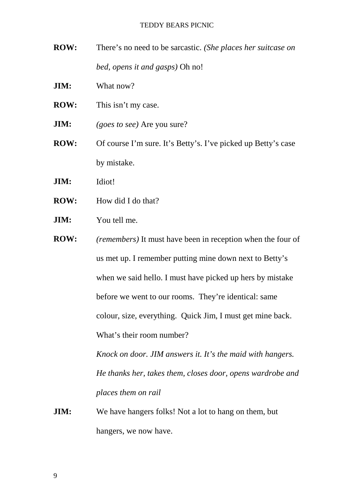**ROW:** There's no need to be sarcastic. *(She places her suitcase on bed, opens it and gasps)* Oh no!

**JIM:** What now?

- **ROW:** This isn't my case.
- **JIM:** *(goes to see)* Are you sure?
- **ROW:** Of course I'm sure. It's Betty's. I've picked up Betty's case by mistake.

**JIM:** Idiot!

- **ROW:** How did I do that?
- **JIM:** You tell me.
- **ROW:** *(remembers)* It must have been in reception when the four of us met up. I remember putting mine down next to Betty's when we said hello. I must have picked up hers by mistake before we went to our rooms. They're identical: same colour, size, everything. Quick Jim, I must get mine back. What's their room number?

*Knock on door. JIM answers it. It's the maid with hangers. He thanks her, takes them, closes door, opens wardrobe and places them on rail*

**JIM:** We have hangers folks! Not a lot to hang on them, but hangers, we now have.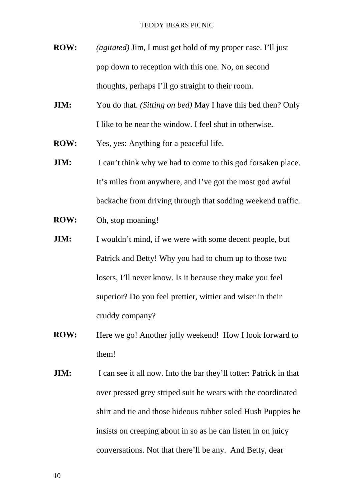- **ROW:** *(agitated)* Jim, I must get hold of my proper case. I'll just pop down to reception with this one. No, on second thoughts, perhaps I'll go straight to their room.
- **JIM:** You do that. *(Sitting on bed)* May I have this bed then? Only I like to be near the window. I feel shut in otherwise.
- **ROW:** Yes, yes: Anything for a peaceful life.
- **JIM:** I can't think why we had to come to this god forsaken place. It's miles from anywhere, and I've got the most god awful backache from driving through that sodding weekend traffic.
- **ROW:** Oh, stop moaning!
- **JIM:** I wouldn't mind, if we were with some decent people, but Patrick and Betty! Why you had to chum up to those two losers, I'll never know. Is it because they make you feel superior? Do you feel prettier, wittier and wiser in their cruddy company?
- **ROW:** Here we go! Another jolly weekend! How I look forward to them!
- **JIM:** I can see it all now. Into the bar they'll totter: Patrick in that over pressed grey striped suit he wears with the coordinated shirt and tie and those hideous rubber soled Hush Puppies he insists on creeping about in so as he can listen in on juicy conversations. Not that there'll be any. And Betty, dear

10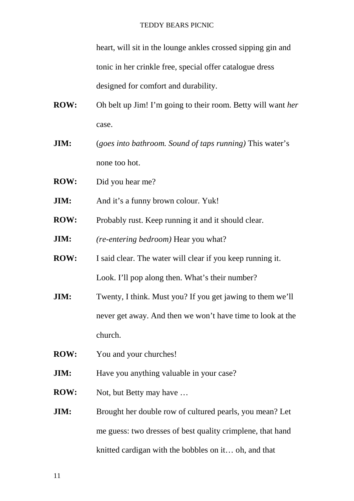heart, will sit in the lounge ankles crossed sipping gin and tonic in her crinkle free, special offer catalogue dress designed for comfort and durability.

- **ROW:** Oh belt up Jim! I'm going to their room. Betty will want *her* case.
- **JIM:** (*goes into bathroom. Sound of taps running)* This water's none too hot.
- **ROW:** Did you hear me?
- **JIM:** And it's a funny brown colour. Yuk!
- **ROW:** Probably rust. Keep running it and it should clear.
- **JIM:** *(re-entering bedroom)* Hear you what?
- **ROW:** I said clear. The water will clear if you keep running it. Look. I'll pop along then. What's their number?
- **JIM:** Twenty, I think. Must you? If you get jawing to them we'll never get away. And then we won't have time to look at the church.
- **ROW:** You and your churches!
- **JIM:** Have you anything valuable in your case?
- **ROW:** Not, but Betty may have ...
- **JIM:** Brought her double row of cultured pearls, you mean? Let me guess: two dresses of best quality crimplene, that hand knitted cardigan with the bobbles on it… oh, and that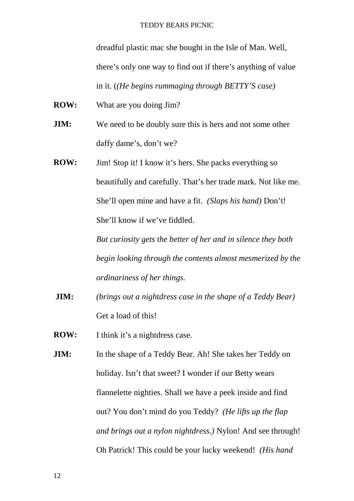dreadful plastic mac she bought in the Isle of Man. Well, there's only one way to find out if there's anything of value in it. (*(He begins rummaging through BETTY'S case)*

**ROW:** What are you doing Jim?

- **JIM:** We need to be doubly sure this is hers and not some other daffy dame's, don't we?
- **ROW:** Jim! Stop it! I know it's hers. She packs everything so beautifully and carefully. That's her trade mark. Not like me. She'll open mine and have a fit. *(Slaps his hand)* Don't! She'll know if we've fiddled.

*But curiosity gets the better of her and in silence they both begin looking through the contents almost mesmerized by the ordinariness of her things.*

**JIM:** *(brings out a nightdress case in the shape of a Teddy Bear)* Get a load of this!

**ROW:** I think it's a nightdress case.

**JIM:** In the shape of a Teddy Bear. Ah! She takes her Teddy on holiday. Isn't that sweet? I wonder if our Betty wears flannelette nighties. Shall we have a peek inside and find out? You don't mind do you Teddy? *(He lifts up the flap and brings out a nylon nightdress.)* Nylon! And see through! Oh Patrick! This could be your lucky weekend! *(His hand*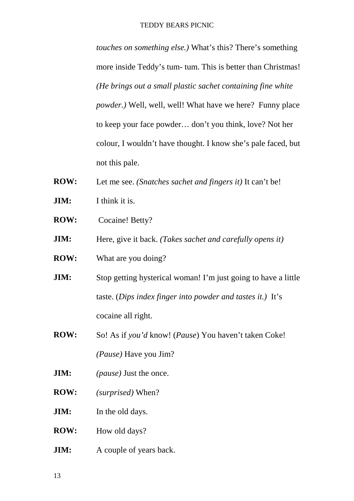*touches on something else.)* What's this? There's something more inside Teddy's tum- tum. This is better than Christmas! *(He brings out a small plastic sachet containing fine white powder.)* Well, well, well! What have we here? Funny place to keep your face powder… don't you think, love? Not her colour, I wouldn't have thought. I know she's pale faced, but not this pale.

- **ROW:** Let me see. *(Snatches sachet and fingers it)* It can't be!
- **JIM:** I think it is.
- **ROW:** Cocaine! Betty?
- **JIM:** Here, give it back. *(Takes sachet and carefully opens it)*
- **ROW:** What are you doing?
- **JIM:** Stop getting hysterical woman! I'm just going to have a little taste. (*Dips index finger into powder and tastes it.)* It's cocaine all right.
- **ROW:** So! As if *you'd* know! (*Pause*) You haven't taken Coke! *(Pause)* Have you Jim?
- **JIM:** *(pause)* Just the once.
- **ROW:** *(surprised)* When?
- **JIM:** In the old days.
- **ROW:** How old days?
- **JIM:** A couple of years back.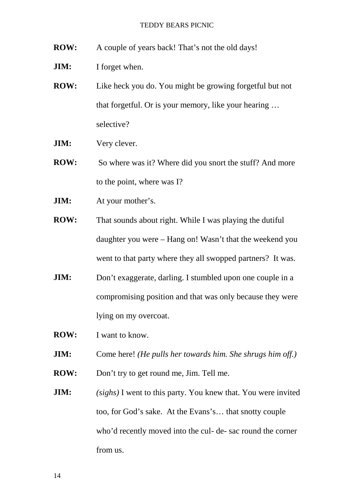- **ROW:** A couple of years back! That's not the old days!
- **JIM:** I forget when.
- **ROW:** Like heck you do. You might be growing forgetful but not that forgetful. Or is your memory, like your hearing … selective?
- **JIM:** Very clever.
- **ROW:** So where was it? Where did you snort the stuff? And more to the point, where was I?
- **JIM:** At your mother's.
- **ROW:** That sounds about right. While I was playing the dutiful daughter you were – Hang on! Wasn't that the weekend you went to that party where they all swopped partners? It was.
- **JIM:** Don't exaggerate, darling. I stumbled upon one couple in a compromising position and that was only because they were lying on my overcoat.
- **ROW:** I want to know.
- **JIM:** Come here! *(He pulls her towards him. She shrugs him off.)*
- **ROW:** Don't try to get round me, Jim. Tell me.
- **JIM:** *(sighs)* I went to this party. You knew that. You were invited too, for God's sake. At the Evans's… that snotty couple who'd recently moved into the cul- de- sac round the corner from us.